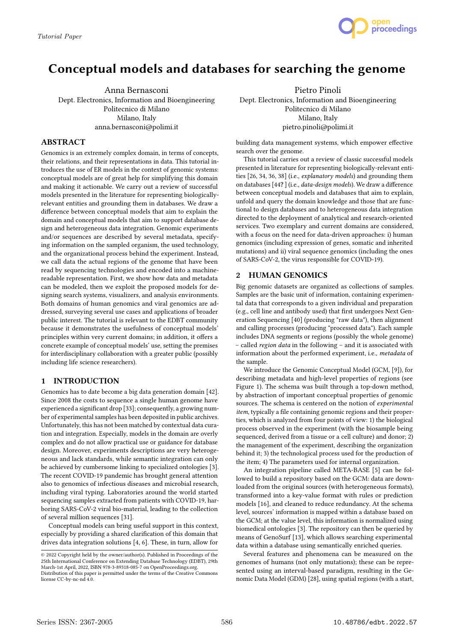

# Conceptual models and databases for searching the genome

Anna Bernasconi Dept. Electronics, Information and Bioengineering Politecnico di Milano Milano, Italy anna.bernasconi@polimi.it

## ABSTRACT

Genomics is an extremely complex domain, in terms of concepts, their relations, and their representations in data. This tutorial introduces the use of ER models in the context of genomic systems: conceptual models are of great help for simplifying this domain and making it actionable. We carry out a review of successful models presented in the literature for representing biologicallyrelevant entities and grounding them in databases. We draw a difference between conceptual models that aim to explain the domain and conceptual models that aim to support database design and heterogeneous data integration. Genomic experiments and/or sequences are described by several metadata, specifying information on the sampled organism, the used technology, and the organizational process behind the experiment. Instead, we call data the actual regions of the genome that have been read by sequencing technologies and encoded into a machinereadable representation. First, we show how data and metadata can be modeled, then we exploit the proposed models for designing search systems, visualizers, and analysis environments. Both domains of human genomics and viral genomics are addressed, surveying several use cases and applications of broader public interest. The tutorial is relevant to the EDBT community because it demonstrates the usefulness of conceptual models' principles within very current domains; in addition, it offers a concrete example of conceptual models' use, setting the premises for interdisciplinary collaboration with a greater public (possibly including life science researchers).

# 1 INTRODUCTION

Genomics has to date become a big data generation domain [42]. Since 2008 the costs to sequence a single human genome have experienced a significant drop [33]; consequently, a growing number of experimental samples has been deposited in public archives. Unfortunately, this has not been matched by contextual data curation and integration. Especially, models in the domain are overly complex and do not allow practical use or guidance for database design. Moreover, experiments descriptions are very heterogeneous and lack standards, while semantic integration can only be achieved by cumbersome linking to specialized ontologies [3]. The recent COVID-19 pandemic has brought general attention also to genomics of infectious diseases and microbial research, including viral typing. Laboratories around the world started sequencing samples extracted from patients with COVID-19, harboring SARS-CoV-2 viral bio-material, leading to the collection of several million sequences [31].

Conceptual models can bring useful support in this context, especially by providing a shared clarification of this domain that drives data integration solutions [4, 6]. These, in turn, allow for

Pietro Pinoli Dept. Electronics, Information and Bioengineering Politecnico di Milano Milano, Italy pietro.pinoli@polimi.it

building data management systems, which empower effective search over the genome.

This tutorial carries out a review of classic successful models presented in literature for representing biologically-relevant entities [26, 34, 36, 38] (i.e., explanatory models) and grounding them on databases [44? ] (i.e., data-design models). We draw a difference between conceptual models and databases that aim to explain, unfold and query the domain knowledge and those that are functional to design databases and to heterogeneous data integration directed to the deployment of analytical and research-oriented services. Two exemplary and current domains are considered, with a focus on the need for data-driven approaches: i) human genomics (including expression of genes, somatic and inherited mutations) and ii) viral sequence genomics (including the ones of SARS-CoV-2, the virus responsible for COVID-19).

### 2 HUMAN GENOMICS

Big genomic datasets are organized as collections of samples. Samples are the basic unit of information, containing experimental data that corresponds to a given individual and preparation (e.g., cell line and antibody used) that first undergoes Next Generation Sequencing [40] (producing "raw data"), then alignment and calling processes (producing "processed data"). Each sample includes DNA segments or regions (possibly the whole genome) – called region data in the following – and it is associated with information about the performed experiment, i.e., metadata of the sample.

We introduce the Genomic Conceptual Model (GCM, [9]), for describing metadata and high-level properties of regions (see Figure 1). The schema was built through a top-down method, by abstraction of important conceptual properties of genomic sources. The schema is centered on the notion of experimental item, typically a file containing genomic regions and their properties, which is analyzed from four points of view: 1) the biological process observed in the experiment (with the biosample being sequenced, derived from a tissue or a cell culture) and donor; 2) the management of the experiment, describing the organization behind it; 3) the technological process used for the production of the item; 4) The parameters used for internal organization.

An integration pipeline called META-BASE [5] can be followed to build a repository based on the GCM: data are downloaded from the original sources (with heterogeneous formats), transformed into a key-value format with rules or prediction models [16], and cleaned to reduce redundancy. At the schema level, sources' information is mapped within a database based on the GCM; at the value level, this information is normalized using biomedical ontologies [3]. The repository can then be queried by means of GenoSurf [13], which allows searching experimental data within a database using semantically enriched queries.

Several features and phenomena can be measured on the genomes of humans (not only mutations); these can be represented using an interval-based paradigm, resulting in the Genomic Data Model (GDM) [28], using spatial regions (with a start,

<sup>©</sup> 2022 Copyright held by the owner/author(s). Published in Proceedings of the 25th International Conference on Extending Database Technology (EDBT), 29th March-1st April, 2022, ISBN 978-3-89318-085-7 on OpenProceedings.org. Distribution of this paper is permitted under the terms of the Creative Commons

license CC-by-nc-nd 4.0.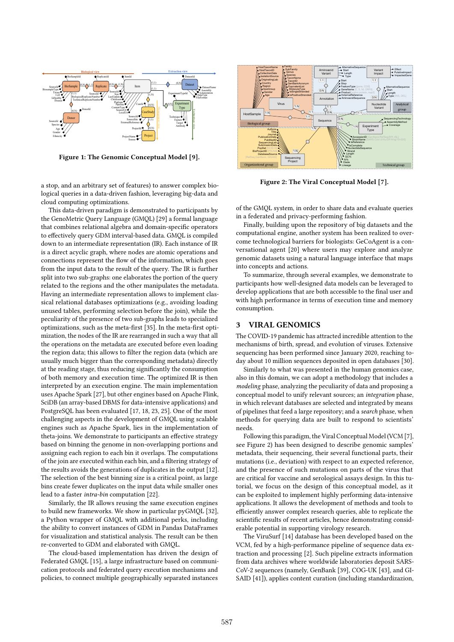

Figure 1: The Genomic Conceptual Model [9].

a stop, and an arbitrary set of features) to answer complex biological queries in a data-driven fashion, leveraging big-data and cloud computing optimizations.

This data-driven paradigm is demonstrated to participants by the GenoMetric Query Language (GMQL) [29] a formal language that combines relational algebra and domain-specific operators to effectively query GDM interval-based data. GMQL is compiled down to an intermediate representation (IR). Each instance of IR is a direct acyclic graph, where nodes are atomic operations and connections represent the flow of the information, which goes from the input data to the result of the query. The IR is further split into two sub-graphs: one elaborates the portion of the query related to the regions and the other manipulates the metadata. Having an intermediate representation allows to implement classical relational databases optimizations (e.g., avoiding loading unused tables, performing selection before the join), while the peculiarity of the presence of two sub-graphs leads to specialized optimizations, such as the meta-first [35]. In the meta-first optimization, the nodes of the IR are rearranged in such a way that all the operations on the metadata are executed before even loading the region data; this allows to filter the region data (which are usually much bigger than the corresponding metadata) directly at the reading stage, thus reducing significantly the consumption of both memory and execution time. The optimized IR is then interpreted by an execution engine. The main implementation uses Apache Spark [27], but other engines based on Apache Flink, SciDB (an array-based DBMS for data-intensive applications) and PostgreSQL has been evaluated [17, 18, 23, 25]. One of the most challenging aspects in the development of GMQL using scalable engines such as Apache Spark, lies in the implementation of theta-joins. We demonstrate to participants an effective strategy based on binning the genome in non-overlapping portions and assigning each region to each bin it overlaps. The computations of the join are executed within each bin, and a filtering strategy of the results avoids the generations of duplicates in the output [12]. The selection of the best binning size is a critical point, as large bins create fewer duplicates on the input data while smaller ones lead to a faster intra-bin computation [22].

Similarly, the IR allows reusing the same execution engines to build new frameworks. We show in particular pyGMQL [32], a Python wrapper of GMQL with additional perks, including the ability to convert instances of GDM in Pandas DataFrames for visualization and statistical analysis. The result can be then re-converted to GDM and elaborated with GMQL.

The cloud-based implementation has driven the design of Federated GMQL [15], a large infrastructure based on communication protocols and federated query execution mechanisms and policies, to connect multiple geographically separated instances



Figure 2: The Viral Conceptual Model [7].

of the GMQL system, in order to share data and evaluate queries in a federated and privacy-performing fashion.

Finally, building upon the repository of big datasets and the computational engine, another system has been realized to overcome technological barriers for biologists: GeCoAgent is a conversational agent [20] where users may explore and analyze genomic datasets using a natural language interface that maps into concepts and actions.

To summarize, through several examples, we demonstrate to participants how well-designed data models can be leveraged to develop applications that are both accessible to the final user and with high performance in terms of execution time and memory consumption.

#### 3 VIRAL GENOMICS

The COVID-19 pandemic has attracted incredible attention to the mechanisms of birth, spread, and evolution of viruses. Extensive sequencing has been performed since January 2020, reaching today about 10 million sequences deposited in open databases [30].

Similarly to what was presented in the human genomics case, also in this domain, we can adopt a methodology that includes a modeling phase, analyzing the peculiarity of data and proposing a conceptual model to unify relevant sources; an integration phase, in which relevant databases are selected and integrated by means of pipelines that feed a large repository; and a search phase, when methods for querying data are built to respond to scientists' needs.

Following this paradigm, the Viral Conceptual Model (VCM [7], see Figure 2) has been designed to describe genomic samples' metadata, their sequencing, their several functional parts, their mutations (i.e., deviation) with respect to an expected reference, and the presence of such mutations on parts of the virus that are critical for vaccine and serological assays design. In this tutorial, we focus on the design of this conceptual model, as it can be exploited to implement highly performing data-intensive applications. It allows the development of methods and tools to efficiently answer complex research queries, able to replicate the scientific results of recent articles, hence demonstrating considerable potential in supporting virology research.

The ViruSurf [14] database has been developed based on the VCM, fed by a high-performance pipeline of sequence data extraction and processing [2]. Such pipeline extracts information from data archives where worldwide laboratories deposit SARS-CoV-2 sequences (namely, GenBank [39], COG-UK [43], and GI-SAID [41]), applies content curation (including standardizazion,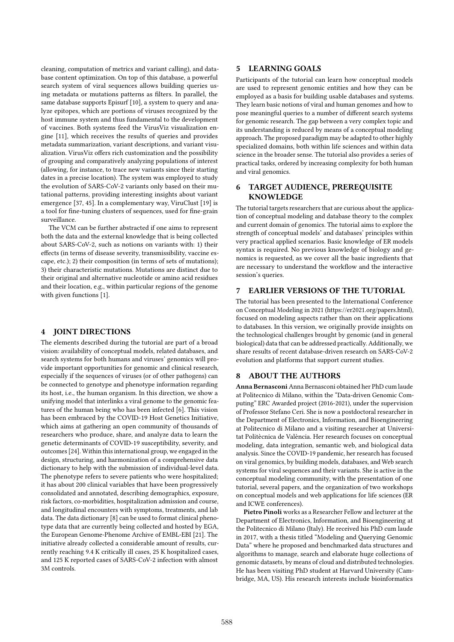cleaning, computation of metrics and variant calling), and database content optimization. On top of this database, a powerful search system of viral sequences allows building queries using metadata or mutations patterns as filters. In parallel, the same database supports Episurf [10], a system to query and analyze epitopes, which are portions of viruses recognized by the host immune system and thus fundamental to the development of vaccines. Both systems feed the VirusViz visualization engine [11], which receives the results of queries and provides metadata summarization, variant descriptions, and variant visualization. VirusViz offers rich customization and the possibility of grouping and comparatively analyzing populations of interest (allowing, for instance, to trace new variants since their starting dates in a precise location). The system was employed to study the evolution of SARS-CoV-2 variants only based on their mutational patterns, providing interesting insights about variant emergence [37, 45]. In a complementary way, ViruClust [19] is a tool for fine-tuning clusters of sequences, used for fine-grain surveillance.

The VCM can be further abstracted if one aims to represent both the data and the external knowledge that is being collected about SARS-CoV-2, such as notions on variants with: 1) their effects (in terms of disease severity, transmissibility, vaccine escape, etc.); 2) their composition (in terms of sets of mutations); 3) their characteristic mutations. Mutations are distinct due to their original and alternative nucleotide or amino acid residues and their location, e.g., within particular regions of the genome with given functions [1].

# 4 JOINT DIRECTIONS

The elements described during the tutorial are part of a broad vision: availability of conceptual models, related databases, and search systems for both humans and viruses' genomics will provide important opportunities for genomic and clinical research, especially if the sequences of viruses (or of other pathogens) can be connected to genotype and phenotype information regarding its host, i.e., the human organism. In this direction, we show a unifying model that interlinks a viral genome to the genomic features of the human being who has been infected [6]. This vision has been embraced by the COVID-19 Host Genetics Initiative, which aims at gathering an open community of thousands of researchers who produce, share, and analyze data to learn the genetic determinants of COVID-19 susceptibility, severity, and outcomes [24]. Within this international group, we engaged in the design, structuring, and harmonization of a comprehensive data dictionary to help with the submission of individual-level data. The phenotype refers to severe patients who were hospitalized; it has about 200 clinical variables that have been progressively consolidated and annotated, describing demographics, exposure, risk factors, co-morbidities, hospitalization admission and course, and longitudinal encounters with symptoms, treatments, and lab data. The data dictionary [8] can be used to format clinical phenotype data that are currently being collected and hosted by EGA, the European Genome-Phenome Archive of EMBL-EBI [21]. The initiative already collected a considerable amount of results, currently reaching 9.4 K critically ill cases, 25 K hospitalized cases, and 125 K reported cases of SARS-CoV-2 infection with almost 3M controls.

#### 5 LEARNING GOALS

Participants of the tutorial can learn how conceptual models are used to represent genomic entities and how they can be employed as a basis for building usable databases and systems. They learn basic notions of viral and human genomes and how to pose meaningful queries to a number of different search systems for genomic research. The gap between a very complex topic and its understanding is reduced by means of a conceptual modeling approach. The proposed paradigm may be adapted to other highly specialized domains, both within life sciences and within data science in the broader sense. The tutorial also provides a series of practical tasks, ordered by increasing complexity for both human and viral genomics.

# 6 TARGET AUDIENCE, PREREQUISITE **KNOWLEDGE**

The tutorial targets researchers that are curious about the application of conceptual modeling and database theory to the complex and current domain of genomics. The tutorial aims to explore the strength of conceptual models' and databases' principles within very practical applied scenarios. Basic knowledge of ER models syntax is required. No previous knowledge of biology and genomics is requested, as we cover all the basic ingredients that are necessary to understand the workflow and the interactive session's queries.

#### 7 EARLIER VERSIONS OF THE TUTORIAL

The tutorial has been presented to the International Conference on Conceptual Modeling in 2021 (https://er2021.org/papers.html), focused on modeling aspects rather than on their applications to databases. In this version, we originally provide insights on the technological challenges brought by genomic (and in general biological) data that can be addressed practically. Additionally, we share results of recent database-driven research on SARS-CoV-2 evolution and platforms that support current studies.

# 8 ABOUT THE AUTHORS

Anna Bernasconi Anna Bernasconi obtained her PhD cum laude at Politecnico di Milano, within the "Data-driven Genomic Computing" ERC Awarded project (2016-2021), under the supervision of Professor Stefano Ceri. She is now a postdoctoral researcher in the Department of Electronics, Information, and Bioengineering at Politecnico di Milano and a visiting researcher at Universitat Politècnica de València. Her research focuses on conceptual modeling, data integration, semantic web, and biological data analysis. Since the COVID-19 pandemic, her research has focused on viral genomics, by building models, databases, and Web search systems for viral sequences and their variants. She is active in the conceptual modeling community, with the presentation of one tutorial, several papers, and the organization of two workshops on conceptual models and web applications for life sciences (ER and ICWE conferences).

Pietro Pinoli works as a Researcher Fellow and lecturer at the Department of Electronics, Information, and Bioengineering at the Politecnico di Milano (Italy). He received his PhD cum laude in 2017, with a thesis titled "Modeling and Querying Genomic Data" where he proposed and benchmarked data structures and algorithms to manage, search and elaborate huge collections of genomic datasets, by means of cloud and distributed technologies. He has been visiting PhD student at Harvard University (Cambridge, MA, US). His research interests include bioinformatics